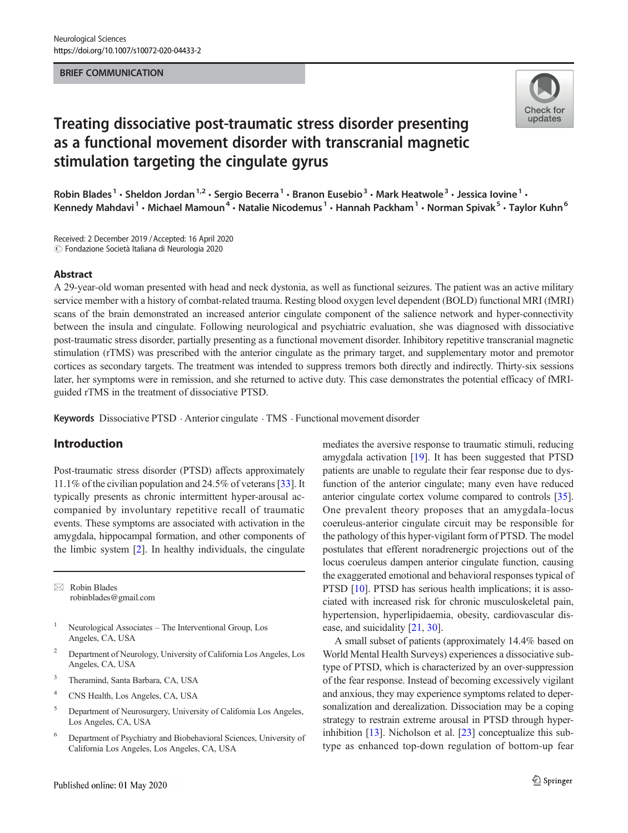#### BRIEF COMMUNICATION



# Treating dissociative post-traumatic stress disorder presenting as a functional movement disorder with transcranial magnetic stimulation targeting the cingulate gyrus

Robin Blades<sup>1</sup> • Sheldon Jordan<sup>1,2</sup> • Sergio Becerra<sup>1</sup> • Branon Eusebio<sup>3</sup> • Mark Heatwole<sup>3</sup> • Jessica Iovine<sup>1</sup> • Kennedy Mahdavi<sup>1</sup> • Michael Mamoun<sup>4</sup> • Natalie Nicodemus<sup>1</sup> • Hannah Packham<sup>1</sup> • Norman Spivak<sup>5</sup> • Taylor Kuhn<sup>6</sup>

Received: 2 December 2019 /Accepted: 16 April 2020  $\circled{c}$  Fondazione Società Italiana di Neurologia 2020

#### Abstract

A 29-year-old woman presented with head and neck dystonia, as well as functional seizures. The patient was an active military service member with a history of combat-related trauma. Resting blood oxygen level dependent (BOLD) functional MRI (fMRI) scans of the brain demonstrated an increased anterior cingulate component of the salience network and hyper-connectivity between the insula and cingulate. Following neurological and psychiatric evaluation, she was diagnosed with dissociative post-traumatic stress disorder, partially presenting as a functional movement disorder. Inhibitory repetitive transcranial magnetic stimulation (rTMS) was prescribed with the anterior cingulate as the primary target, and supplementary motor and premotor cortices as secondary targets. The treatment was intended to suppress tremors both directly and indirectly. Thirty-six sessions later, her symptoms were in remission, and she returned to active duty. This case demonstrates the potential efficacy of fMRIguided rTMS in the treatment of dissociative PTSD.

Keywords Dissociative PTSD · Anterior cingulate · TMS · Functional movement disorder

## Introduction

Post-traumatic stress disorder (PTSD) affects approximately 11.1% of the civilian population and 24.5% of veterans [\[33\]](#page-5-0). It typically presents as chronic intermittent hyper-arousal accompanied by involuntary repetitive recall of traumatic events. These symptoms are associated with activation in the amygdala, hippocampal formation, and other components of the limbic system [\[2](#page-4-0)]. In healthy individuals, the cingulate

 $\boxtimes$  Robin Blades [robinblades@gmail.com](mailto:robinblades@gmail.com)

- <sup>1</sup> Neurological Associates The Interventional Group, Los Angeles, CA, USA
- <sup>2</sup> Department of Neurology, University of California Los Angeles, Los Angeles, CA, USA
- <sup>3</sup> Theramind, Santa Barbara, CA, USA
- <sup>4</sup> CNS Health, Los Angeles, CA, USA
- <sup>5</sup> Department of Neurosurgery, University of California Los Angeles, Los Angeles, CA, USA
- <sup>6</sup> Department of Psychiatry and Biobehavioral Sciences, University of California Los Angeles, Los Angeles, CA, USA

mediates the aversive response to traumatic stimuli, reducing amygdala activation [[19](#page-4-0)]. It has been suggested that PTSD patients are unable to regulate their fear response due to dysfunction of the anterior cingulate; many even have reduced anterior cingulate cortex volume compared to controls [[35\]](#page-5-0). One prevalent theory proposes that an amygdala-locus coeruleus-anterior cingulate circuit may be responsible for the pathology of this hyper-vigilant form of PTSD. The model postulates that efferent noradrenergic projections out of the locus coeruleus dampen anterior cingulate function, causing the exaggerated emotional and behavioral responses typical of PTSD [\[10\]](#page-4-0). PTSD has serious health implications; it is associated with increased risk for chronic musculoskeletal pain, hypertension, hyperlipidaemia, obesity, cardiovascular disease, and suicidality [\[21](#page-4-0), [30\]](#page-4-0).

A small subset of patients (approximately 14.4% based on World Mental Health Surveys) experiences a dissociative subtype of PTSD, which is characterized by an over-suppression of the fear response. Instead of becoming excessively vigilant and anxious, they may experience symptoms related to depersonalization and derealization. Dissociation may be a coping strategy to restrain extreme arousal in PTSD through hyperinhibition [\[13\]](#page-4-0). Nicholson et al. [[23\]](#page-4-0) conceptualize this subtype as enhanced top-down regulation of bottom-up fear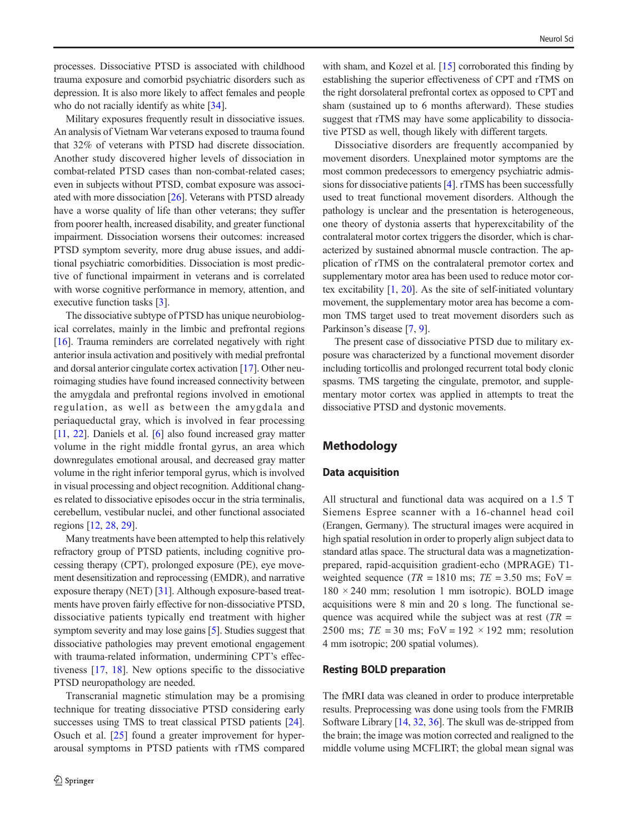processes. Dissociative PTSD is associated with childhood trauma exposure and comorbid psychiatric disorders such as depression. It is also more likely to affect females and people who do not racially identify as white [\[34\]](#page-5-0).

Military exposures frequently result in dissociative issues. An analysis of Vietnam War veterans exposed to trauma found that 32% of veterans with PTSD had discrete dissociation. Another study discovered higher levels of dissociation in combat-related PTSD cases than non-combat-related cases; even in subjects without PTSD, combat exposure was associated with more dissociation [\[26](#page-4-0)]. Veterans with PTSD already have a worse quality of life than other veterans; they suffer from poorer health, increased disability, and greater functional impairment. Dissociation worsens their outcomes: increased PTSD symptom severity, more drug abuse issues, and additional psychiatric comorbidities. Dissociation is most predictive of functional impairment in veterans and is correlated with worse cognitive performance in memory, attention, and executive function tasks [[3\]](#page-4-0).

The dissociative subtype of PTSD has unique neurobiological correlates, mainly in the limbic and prefrontal regions [\[16\]](#page-4-0). Trauma reminders are correlated negatively with right anterior insula activation and positively with medial prefrontal and dorsal anterior cingulate cortex activation [[17](#page-4-0)]. Other neuroimaging studies have found increased connectivity between the amygdala and prefrontal regions involved in emotional regulation, as well as between the amygdala and periaqueductal gray, which is involved in fear processing [\[11,](#page-4-0) [22](#page-4-0)]. Daniels et al. [\[6](#page-4-0)] also found increased gray matter volume in the right middle frontal gyrus, an area which downregulates emotional arousal, and decreased gray matter volume in the right inferior temporal gyrus, which is involved in visual processing and object recognition. Additional changes related to dissociative episodes occur in the stria terminalis, cerebellum, vestibular nuclei, and other functional associated regions [\[12](#page-4-0), [28,](#page-4-0) [29\]](#page-4-0).

Many treatments have been attempted to help this relatively refractory group of PTSD patients, including cognitive processing therapy (CPT), prolonged exposure (PE), eye movement desensitization and reprocessing (EMDR), and narrative exposure therapy (NET) [\[31\]](#page-5-0). Although exposure-based treatments have proven fairly effective for non-dissociative PTSD, dissociative patients typically end treatment with higher symptom severity and may lose gains [\[5](#page-4-0)]. Studies suggest that dissociative pathologies may prevent emotional engagement with trauma-related information, undermining CPT's effectiveness [[17,](#page-4-0) [18](#page-4-0)]. New options specific to the dissociative PTSD neuropathology are needed.

Transcranial magnetic stimulation may be a promising technique for treating dissociative PTSD considering early successes using TMS to treat classical PTSD patients [[24](#page-4-0)]. Osuch et al. [[25\]](#page-4-0) found a greater improvement for hyperarousal symptoms in PTSD patients with rTMS compared

with sham, and Kozel et al. [\[15](#page-4-0)] corroborated this finding by establishing the superior effectiveness of CPT and rTMS on the right dorsolateral prefrontal cortex as opposed to CPT and sham (sustained up to 6 months afterward). These studies suggest that rTMS may have some applicability to dissociative PTSD as well, though likely with different targets.

Dissociative disorders are frequently accompanied by movement disorders. Unexplained motor symptoms are the most common predecessors to emergency psychiatric admissions for dissociative patients [[4\]](#page-4-0). rTMS has been successfully used to treat functional movement disorders. Although the pathology is unclear and the presentation is heterogeneous, one theory of dystonia asserts that hyperexcitability of the contralateral motor cortex triggers the disorder, which is characterized by sustained abnormal muscle contraction. The application of rTMS on the contralateral premotor cortex and supplementary motor area has been used to reduce motor cortex excitability [\[1](#page-4-0), [20\]](#page-4-0). As the site of self-initiated voluntary movement, the supplementary motor area has become a common TMS target used to treat movement disorders such as Parkinson's disease [\[7](#page-4-0), [9](#page-4-0)].

The present case of dissociative PTSD due to military exposure was characterized by a functional movement disorder including torticollis and prolonged recurrent total body clonic spasms. TMS targeting the cingulate, premotor, and supplementary motor cortex was applied in attempts to treat the dissociative PTSD and dystonic movements.

## Methodology

#### Data acquisition

All structural and functional data was acquired on a 1.5 T Siemens Espree scanner with a 16-channel head coil (Erangen, Germany). The structural images were acquired in high spatial resolution in order to properly align subject data to standard atlas space. The structural data was a magnetizationprepared, rapid-acquisition gradient-echo (MPRAGE) T1 weighted sequence ( $TR = 1810$  ms;  $TE = 3.50$  ms;  $FoV =$  $180 \times 240$  mm; resolution 1 mm isotropic). BOLD image acquisitions were 8 min and 20 s long. The functional sequence was acquired while the subject was at rest ( $TR =$ 2500 ms;  $TE = 30$  ms;  $FoV = 192 \times 192$  mm; resolution 4 mm isotropic; 200 spatial volumes).

#### Resting BOLD preparation

The fMRI data was cleaned in order to produce interpretable results. Preprocessing was done using tools from the FMRIB Software Library [\[14](#page-4-0), [32,](#page-5-0) [36](#page-5-0)]. The skull was de-stripped from the brain; the image was motion corrected and realigned to the middle volume using MCFLIRT; the global mean signal was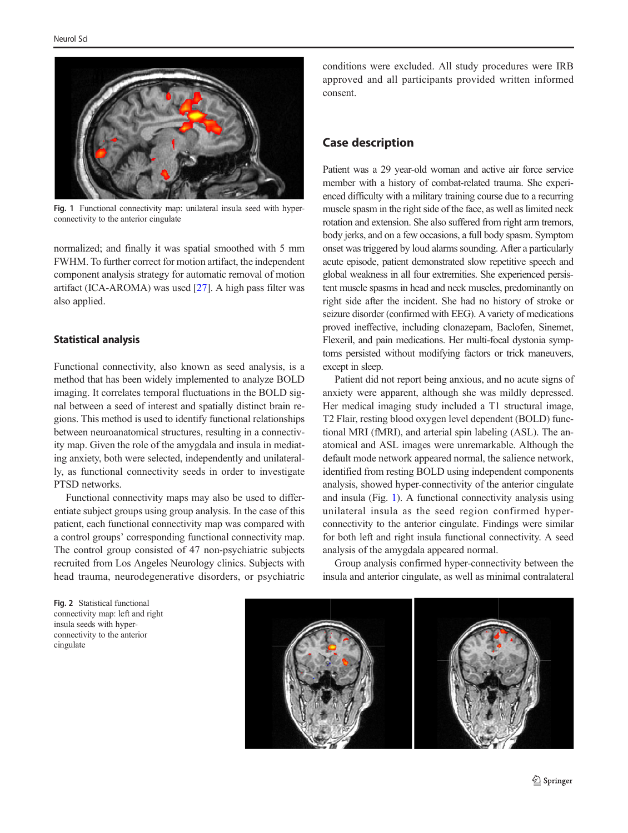<span id="page-2-0"></span>

Fig. 1 Functional connectivity map: unilateral insula seed with hyperconnectivity to the anterior cingulate

normalized; and finally it was spatial smoothed with 5 mm FWHM. To further correct for motion artifact, the independent component analysis strategy for automatic removal of motion artifact (ICA-AROMA) was used [[27](#page-4-0)]. A high pass filter was also applied.

#### Statistical analysis

Functional connectivity, also known as seed analysis, is a method that has been widely implemented to analyze BOLD imaging. It correlates temporal fluctuations in the BOLD signal between a seed of interest and spatially distinct brain regions. This method is used to identify functional relationships between neuroanatomical structures, resulting in a connectivity map. Given the role of the amygdala and insula in mediating anxiety, both were selected, independently and unilaterally, as functional connectivity seeds in order to investigate PTSD networks.

Functional connectivity maps may also be used to differentiate subject groups using group analysis. In the case of this patient, each functional connectivity map was compared with a control groups' corresponding functional connectivity map. The control group consisted of 47 non-psychiatric subjects recruited from Los Angeles Neurology clinics. Subjects with head trauma, neurodegenerative disorders, or psychiatric conditions were excluded. All study procedures were IRB approved and all participants provided written informed consent.

## Case description

Patient was a 29 year-old woman and active air force service member with a history of combat-related trauma. She experienced difficulty with a military training course due to a recurring muscle spasm in the right side of the face, as well as limited neck rotation and extension. She also suffered from right arm tremors, body jerks, and on a few occasions, a full body spasm. Symptom onset was triggered by loud alarms sounding. After a particularly acute episode, patient demonstrated slow repetitive speech and global weakness in all four extremities. She experienced persistent muscle spasms in head and neck muscles, predominantly on right side after the incident. She had no history of stroke or seizure disorder (confirmed with EEG). A variety of medications proved ineffective, including clonazepam, Baclofen, Sinemet, Flexeril, and pain medications. Her multi-focal dystonia symptoms persisted without modifying factors or trick maneuvers, except in sleep.

Patient did not report being anxious, and no acute signs of anxiety were apparent, although she was mildly depressed. Her medical imaging study included a T1 structural image, T2 Flair, resting blood oxygen level dependent (BOLD) functional MRI (fMRI), and arterial spin labeling (ASL). The anatomical and ASL images were unremarkable. Although the default mode network appeared normal, the salience network, identified from resting BOLD using independent components analysis, showed hyper-connectivity of the anterior cingulate and insula (Fig. 1). A functional connectivity analysis using unilateral insula as the seed region confirmed hyperconnectivity to the anterior cingulate. Findings were similar for both left and right insula functional connectivity. A seed analysis of the amygdala appeared normal.

Group analysis confirmed hyper-connectivity between the insula and anterior cingulate, as well as minimal contralateral

Fig. 2 Statistical functional connectivity map: left and right insula seeds with hyperconnectivity to the anterior cingulate

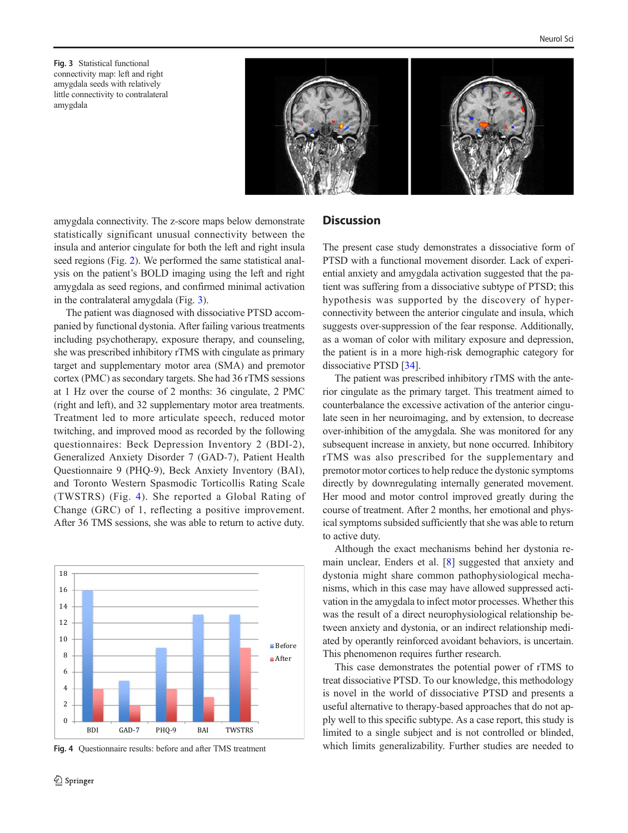Fig. 3 Statistical functional connectivity map: left and right amygdala seeds with relatively little connectivity to contralateral amygdala



amygdala connectivity. The z-score maps below demonstrate statistically significant unusual connectivity between the insula and anterior cingulate for both the left and right insula seed regions (Fig. [2\)](#page-2-0). We performed the same statistical analysis on the patient's BOLD imaging using the left and right amygdala as seed regions, and confirmed minimal activation in the contralateral amygdala (Fig. 3).

The patient was diagnosed with dissociative PTSD accompanied by functional dystonia. After failing various treatments including psychotherapy, exposure therapy, and counseling, she was prescribed inhibitory rTMS with cingulate as primary target and supplementary motor area (SMA) and premotor cortex (PMC) as secondary targets. She had 36 rTMS sessions at 1 Hz over the course of 2 months: 36 cingulate, 2 PMC (right and left), and 32 supplementary motor area treatments. Treatment led to more articulate speech, reduced motor twitching, and improved mood as recorded by the following questionnaires: Beck Depression Inventory 2 (BDI-2), Generalized Anxiety Disorder 7 (GAD-7), Patient Health Questionnaire 9 (PHQ-9), Beck Anxiety Inventory (BAI), and Toronto Western Spasmodic Torticollis Rating Scale (TWSTRS) (Fig. 4). She reported a Global Rating of Change (GRC) of 1, reflecting a positive improvement. After 36 TMS sessions, she was able to return to active duty.



Fig. 4 Questionnaire results: before and after TMS treatment

#### **Discussion**

The present case study demonstrates a dissociative form of PTSD with a functional movement disorder. Lack of experiential anxiety and amygdala activation suggested that the patient was suffering from a dissociative subtype of PTSD; this hypothesis was supported by the discovery of hyperconnectivity between the anterior cingulate and insula, which suggests over-suppression of the fear response. Additionally, as a woman of color with military exposure and depression, the patient is in a more high-risk demographic category for dissociative PTSD [[34\]](#page-5-0).

The patient was prescribed inhibitory rTMS with the anterior cingulate as the primary target. This treatment aimed to counterbalance the excessive activation of the anterior cingulate seen in her neuroimaging, and by extension, to decrease over-inhibition of the amygdala. She was monitored for any subsequent increase in anxiety, but none occurred. Inhibitory rTMS was also prescribed for the supplementary and premotor motor cortices to help reduce the dystonic symptoms directly by downregulating internally generated movement. Her mood and motor control improved greatly during the course of treatment. After 2 months, her emotional and physical symptoms subsided sufficiently that she was able to return to active duty.

Although the exact mechanisms behind her dystonia remain unclear, Enders et al. [\[8](#page-4-0)] suggested that anxiety and dystonia might share common pathophysiological mechanisms, which in this case may have allowed suppressed activation in the amygdala to infect motor processes. Whether this was the result of a direct neurophysiological relationship between anxiety and dystonia, or an indirect relationship mediated by operantly reinforced avoidant behaviors, is uncertain. This phenomenon requires further research.

This case demonstrates the potential power of rTMS to treat dissociative PTSD. To our knowledge, this methodology is novel in the world of dissociative PTSD and presents a useful alternative to therapy-based approaches that do not apply well to this specific subtype. As a case report, this study is limited to a single subject and is not controlled or blinded, which limits generalizability. Further studies are needed to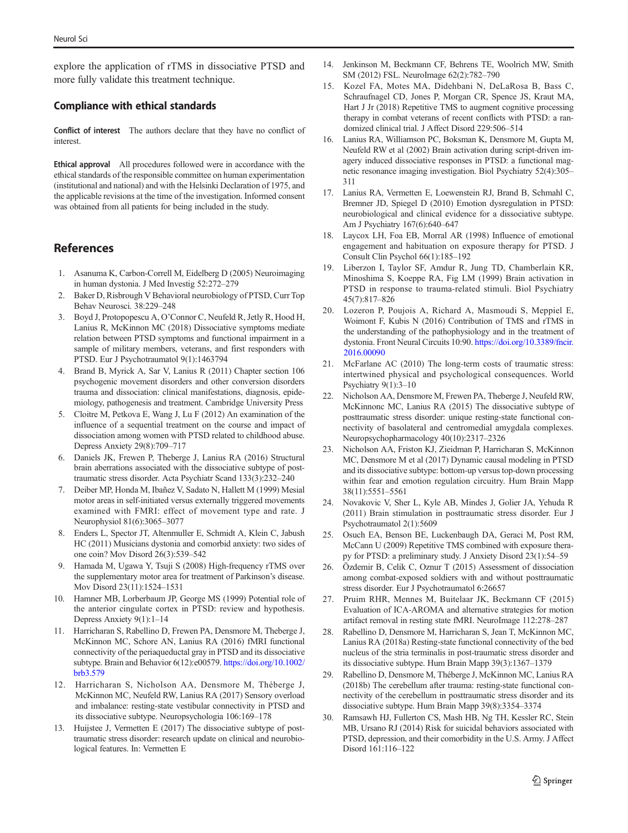<span id="page-4-0"></span>explore the application of rTMS in dissociative PTSD and more fully validate this treatment technique.

### Compliance with ethical standards

Conflict of interest The authors declare that they have no conflict of interest.

Ethical approval All procedures followed were in accordance with the ethical standards of the responsible committee on human experimentation (institutional and national) and with the Helsinki Declaration of 1975, and the applicable revisions at the time of the investigation. Informed consent was obtained from all patients for being included in the study.

## References

- 1. Asanuma K, Carbon-Correll M, Eidelberg D (2005) Neuroimaging in human dystonia. J Med Investig 52:272–279
- 2. Baker D, Risbrough V Behavioral neurobiology of PTSD, Curr Top Behav Neurosci. 38:229–248
- 3. Boyd J, Protopopescu A, O'Connor C, Neufeld R, Jetly R, Hood H, Lanius R, McKinnon MC (2018) Dissociative symptoms mediate relation between PTSD symptoms and functional impairment in a sample of military members, veterans, and first responders with PTSD. Eur J Psychotraumatol 9(1):1463794
- 4. Brand B, Myrick A, Sar V, Lanius R (2011) Chapter section 106 psychogenic movement disorders and other conversion disorders trauma and dissociation: clinical manifestations, diagnosis, epidemiology, pathogenesis and treatment. Cambridge University Press
- 5. Cloitre M, Petkova E, Wang J, Lu F (2012) An examination of the influence of a sequential treatment on the course and impact of dissociation among women with PTSD related to childhood abuse. Depress Anxiety 29(8):709–717
- 6. Daniels JK, Frewen P, Theberge J, Lanius RA (2016) Structural brain aberrations associated with the dissociative subtype of posttraumatic stress disorder. Acta Psychiatr Scand 133(3):232–240
- 7. Deiber MP, Honda M, Ibañez V, Sadato N, Hallett M (1999) Mesial motor areas in self-initiated versus externally triggered movements examined with FMRI: effect of movement type and rate. J Neurophysiol 81(6):3065–3077
- 8. Enders L, Spector JT, Altenmuller E, Schmidt A, Klein C, Jabush HC (2011) Musicians dystonia and comorbid anxiety: two sides of one coin? Mov Disord 26(3):539–542
- Hamada M, Ugawa Y, Tsuji S (2008) High-frequency rTMS over the supplementary motor area for treatment of Parkinson's disease. Mov Disord 23(11):1524–1531
- 10. Hamner MB, Lorberbaum JP, George MS (1999) Potential role of the anterior cingulate cortex in PTSD: review and hypothesis. Depress Anxiety 9(1):1–14
- 11. Harricharan S, Rabellino D, Frewen PA, Densmore M, Theberge J, McKinnon MC, Schore AN, Lanius RA (2016) fMRI functional connectivity of the periaqueductal gray in PTSD and its dissociative subtype. Brain and Behavior 6(12):e00579. [https://doi.org/10.1002/](https://doi.org/10.1002/brb3.579) [brb3.579](https://doi.org/10.1002/brb3.579)
- 12. Harricharan S, Nicholson AA, Densmore M, Théberge J, McKinnon MC, Neufeld RW, Lanius RA (2017) Sensory overload and imbalance: resting-state vestibular connectivity in PTSD and its dissociative subtype. Neuropsychologia 106:169–178
- 13. Huijstee J, Vermetten E (2017) The dissociative subtype of posttraumatic stress disorder: research update on clinical and neurobiological features. In: Vermetten E
- 14. Jenkinson M, Beckmann CF, Behrens TE, Woolrich MW, Smith SM (2012) FSL. NeuroImage 62(2):782–790
- 15. Kozel FA, Motes MA, Didehbani N, DeLaRosa B, Bass C, Schraufnagel CD, Jones P, Morgan CR, Spence JS, Kraut MA, Hart J Jr (2018) Repetitive TMS to augment cognitive processing therapy in combat veterans of recent conflicts with PTSD: a randomized clinical trial. J Affect Disord 229:506–514
- 16. Lanius RA, Williamson PC, Boksman K, Densmore M, Gupta M, Neufeld RW et al (2002) Brain activation during script-driven imagery induced dissociative responses in PTSD: a functional magnetic resonance imaging investigation. Biol Psychiatry 52(4):305– 311
- 17. Lanius RA, Vermetten E, Loewenstein RJ, Brand B, Schmahl C, Bremner JD, Spiegel D (2010) Emotion dysregulation in PTSD: neurobiological and clinical evidence for a dissociative subtype. Am J Psychiatry 167(6):640–647
- 18. Laycox LH, Foa EB, Morral AR (1998) Influence of emotional engagement and habituation on exposure therapy for PTSD. J Consult Clin Psychol 66(1):185–192
- 19. Liberzon I, Taylor SF, Amdur R, Jung TD, Chamberlain KR, Minoshima S, Koeppe RA, Fig LM (1999) Brain activation in PTSD in response to trauma-related stimuli. Biol Psychiatry 45(7):817–826
- 20. Lozeron P, Poujois A, Richard A, Masmoudi S, Meppiel E, Woimont F, Kubis N (2016) Contribution of TMS and rTMS in the understanding of the pathophysiology and in the treatment of dystonia. Front Neural Circuits 10:90. [https://doi.org/10.3389/fncir.](https://doi.org/10.3389/fncir.2016.00090) [2016.00090](https://doi.org/10.3389/fncir.2016.00090)
- 21. McFarlane AC (2010) The long-term costs of traumatic stress: intertwined physical and psychological consequences. World Psychiatry 9(1):3–10
- 22. Nicholson AA, Densmore M, Frewen PA, Theberge J, Neufeld RW, McKinnonc MC, Lanius RA (2015) The dissociative subtype of posttraumatic stress disorder: unique resting-state functional connectivity of basolateral and centromedial amygdala complexes. Neuropsychopharmacology 40(10):2317–2326
- 23. Nicholson AA, Friston KJ, Zieidman P, Harricharan S, McKinnon MC, Densmore M et al (2017) Dynamic causal modeling in PTSD and its dissociative subtype: bottom-up versus top-down processing within fear and emotion regulation circuitry. Hum Brain Mapp 38(11):5551–5561
- 24. Novakovic V, Sher L, Kyle AB, Mindes J, Golier JA, Yehuda R (2011) Brain stimulation in posttraumatic stress disorder. Eur J Psychotraumatol 2(1):5609
- 25. Osuch EA, Benson BE, Luckenbaugh DA, Geraci M, Post RM, McCann U (2009) Repetitive TMS combined with exposure therapy for PTSD: a preliminary study. J Anxiety Disord 23(1):54–59
- 26. Özdemir B, Celik C, Oznur T (2015) Assessment of dissociation among combat-exposed soldiers with and without posttraumatic stress disorder. Eur J Psychotraumatol 6:26657
- 27. Pruim RHR, Mennes M, Buitelaar JK, Beckmann CF (2015) Evaluation of ICA-AROMA and alternative strategies for motion artifact removal in resting state fMRI. NeuroImage 112:278–287
- 28. Rabellino D, Densmore M, Harricharan S, Jean T, McKinnon MC, Lanius RA (2018a) Resting-state functional connectivity of the bed nucleus of the stria terminalis in post-traumatic stress disorder and its dissociative subtype. Hum Brain Mapp 39(3):1367–1379
- Rabellino D, Densmore M, Théberge J, McKinnon MC, Lanius RA (2018b) The cerebellum after trauma: resting-state functional connectivity of the cerebellum in posttraumatic stress disorder and its dissociative subtype. Hum Brain Mapp 39(8):3354–3374
- 30. Ramsawh HJ, Fullerton CS, Mash HB, Ng TH, Kessler RC, Stein MB, Ursano RJ (2014) Risk for suicidal behaviors associated with PTSD, depression, and their comorbidity in the U.S. Army. J Affect Disord 161:116–122